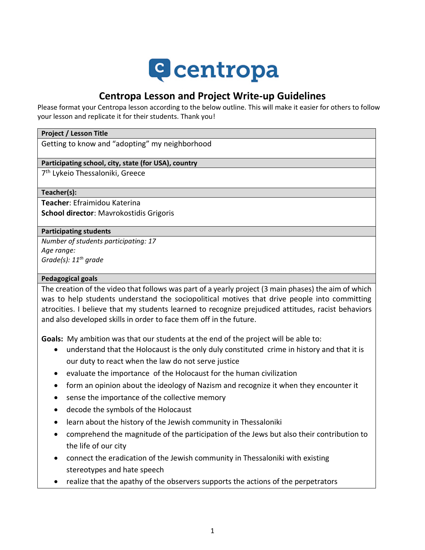# **Q** centropa

## **Centropa Lesson and Project Write-up Guidelines**

Please format your Centropa lesson according to the below outline. This will make it easier for others to follow your lesson and replicate it for their students. Thank you!

#### **Project / Lesson Title**

Getting to know and "adopting" my neighborhood

#### **Participating school, city, state (for USA), country**

7<sup>th</sup> Lykeio Thessaloniki, Greece

**Teacher(s):**

**Teacher**: Efraimidou Katerina **School director**: Mavrokostidis Grigoris

#### **Participating students**

*Number of students participating: 17 Age range: Grade(s): 11th grade*

#### **Pedagogical goals**

The creation of the video that follows was part of a yearly project (3 main phases) the aim of which was to help students understand the sociopolitical motives that drive people into committing atrocities. I believe that my students learned to recognize prejudiced attitudes, racist behaviors and also developed skills in order to face them off in the future.

**Goals:** My ambition was that our students at the end of the project will be able to:

- understand that the Holocaust is the only duly constituted crime in history and that it is our duty to react when the law do not serve justice
- evaluate the importance of the Holocaust for the human civilization
- form an opinion about the ideology of Nazism and recognize it when they encounter it
- sense the importance of the collective memory
- decode the symbols of the Holocaust
- learn about the history of the Jewish community in Thessaloniki
- comprehend the magnitude of the participation of the Jews but also their contribution to the life of our city
- connect the eradication of the Jewish community in Thessaloniki with existing stereotypes and hate speech
- realize that the apathy of the observers supports the actions of the perpetrators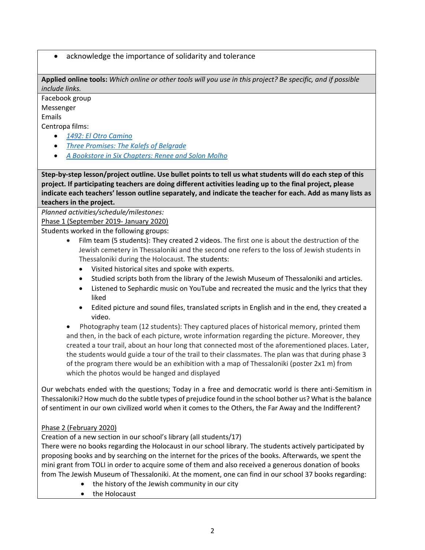• acknowledge the importance of solidarity and tolerance

**Applied online tools:** *Which online or other tools will you use in this project? Be specific, and if possible include links.*

Facebook group Messenger

Emails

Centropa films:

- *[1492: El Otro Camino](https://www.centropa.org/centropa-cinema/el-otro-camino-1492?subtitle_language=)*
- *[Three Promises: The Kalefs of Belgrade](https://www.centropa.org/centropa-cinema/matilda-kalef-three-promises?subtitle_language=)*
- *[A Bookstore in Six Chapters: Renee and Solon Molho](https://www.centropa.org/centropa-cinema/renee-molho-bookstore-six-chapters?subtitle_language=)*

**Step-by-step lesson/project outline. Use bullet points to tell us what students will do each step of this project. If participating teachers are doing different activities leading up to the final project, please indicate each teachers' lesson outline separately, and indicate the teacher for each. Add as many lists as teachers in the project.**

*Planned activities/schedule/milestones:*

Phase 1 (September 2019- January 2020)

Students worked in the following groups:

- Film team (5 students): They created 2 videos. The first one is about the destruction of the Jewish cemetery in Thessaloniki and the second one refers to the loss of Jewish students in Thessaloniki during the Holocaust. The students:
	- Visited historical sites and spoke with experts.
	- Studied scripts both from the library of the Jewish Museum of Thessaloniki and articles.
	- Listened to Sephardic music on YouTube and recreated the music and the lyrics that they liked
	- Edited picture and sound files, translated scripts in English and in the end, they created a video.

• Photography team (12 students): They captured places of historical memory, printed them and then, in the back of each picture, wrote information regarding the picture. Moreover, they created a tour trail, about an hour long that connected most of the aforementioned places. Later, the students would guide a tour of the trail to their classmates. The plan was that during phase 3 of the program there would be an exhibition with a map of Thessaloniki (poster 2x1 m) from which the photos would be hanged and displayed

Our webchats ended with the questions; Today in a free and democratic world is there anti-Semitism in Thessaloniki? How much do the subtle types of prejudice found in the school bother us? What is the balance of sentiment in our own civilized world when it comes to the Others, the Far Away and the Indifferent?

### Phase 2 (February 2020)

Creation of a new section in our school's library (all students/17)

There were no books regarding the Holocaust in our school library. The students actively participated by proposing books and by searching on the internet for the prices of the books. Afterwards, we spent the mini grant from TOLI in order to acquire some of them and also received a generous donation of books from The Jewish Museum of Thessaloniki. At the moment, one can find in our school 37 books regarding:

- the history of the Jewish community in our city
- the Holocaust